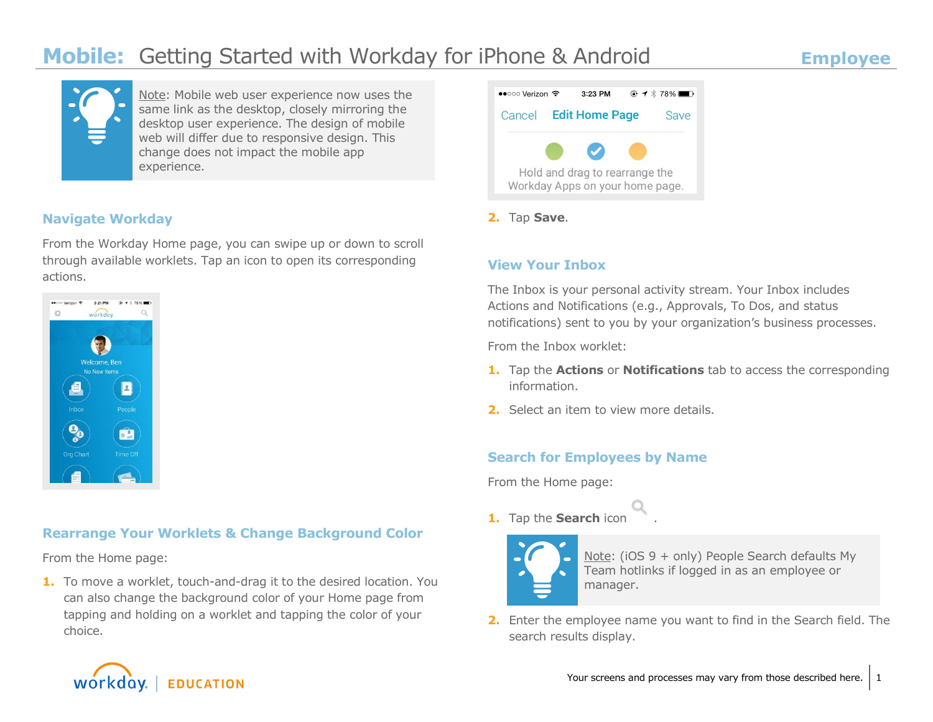

Note: Mobile web user experience now uses the same link as the desktop, closely mirroring the desktop user experience. The design of mobile web will differ due to responsive design. This change does not impact the mobile app experience.

### **Navigate Workday**

From the Workday Home page, you can swipe up or down to scroll through available worklets. Tap an icon to open its corresponding actions.



### **Rearrange Your Worklets & Change Background Color**

From the Home page:

**1.** To move a worklet, touch-and-drag it to the desired location. You can also change the background color of your Home page from tapping and holding on a worklet and tapping the color of your choice.



#### **2.** Tap **Save**.

#### **View Your Inbox**

The Inbox is your personal activity stream. Your Inbox includes Actions and Notifications (e.g., Approvals, To Dos, and status notifications) sent to you by your organization's business processes.

From the Inbox worklet:

- **1.** Tap the **Actions** or **Notifications** tab to access the corresponding information.
- **2.** Select an item to view more details.

#### **Search for Employees by Name**

From the Home page:

- **1.** Tap the **Search** icon .
	-

Note: (iOS 9 + only) People Search defaults My Team hotlinks if logged in as an employee or manager.

**2.** Enter the employee name you want to find in the Search field. The search results display.

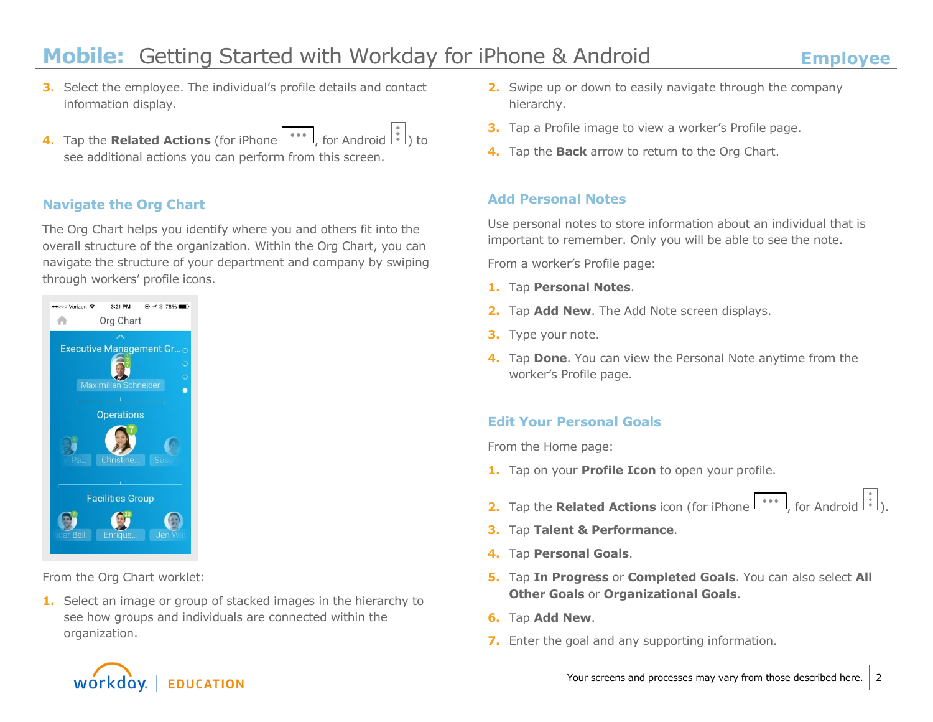- **3.** Select the employee. The individual's profile details and contact information display.
- **4.** Tap the **Related Actions** (for iPhone  $\begin{bmatrix} \bullet & \bullet & \bullet \\ \bullet & \bullet & \bullet \end{bmatrix}$ , for Android  $\begin{bmatrix} \bullet & \bullet & \bullet \\ \bullet & \bullet & \bullet \end{bmatrix}$ see additional actions you can perform from this screen.

#### **Navigate the Org Chart**

The Org Chart helps you identify where you and others fit into the overall structure of the organization. Within the Org Chart, you can navigate the structure of your department and company by swiping through workers' profile icons.



From the Org Chart worklet:

**1.** Select an image or group of stacked images in the hierarchy to see how groups and individuals are connected within the organization.

- **2.** Swipe up or down to easily navigate through the company hierarchy.
- **3.** Tap a Profile image to view a worker's Profile page.
- **4.** Tap the **Back** arrow to return to the Org Chart.

#### **Add Personal Notes**

Use personal notes to store information about an individual that is important to remember. Only you will be able to see the note.

From a worker's Profile page:

- **1.** Tap **Personal Notes**.
- **2.** Tap **Add New**. The Add Note screen displays.
- **3.** Type your note.
- **4.** Tap **Done**. You can view the Personal Note anytime from the worker's Profile page.

#### **Edit Your Personal Goals**

From the Home page:

- **1.** Tap on your **Profile Icon** to open your profile.
- **2.** Tap the **Related Actions** icon (for iPhone  $\begin{bmatrix} \cdot & \cdot & \cdot \\ \cdot & \cdot & \cdot \\ \cdot & \cdot & \cdot \end{bmatrix}$ , for Android  $\begin{bmatrix} \cdot & \cdot & \cdot \\ \cdot & \cdot & \cdot \\ \cdot & \cdot & \cdot \end{bmatrix}$ ).
- **3.** Tap **Talent & Performance**.
- **4.** Tap **Personal Goals**.
- **5.** Tap **In Progress** or **Completed Goals**. You can also select **All Other Goals** or **Organizational Goals**.
- **6.** Tap **Add New**.
- **7.** Enter the goal and any supporting information.

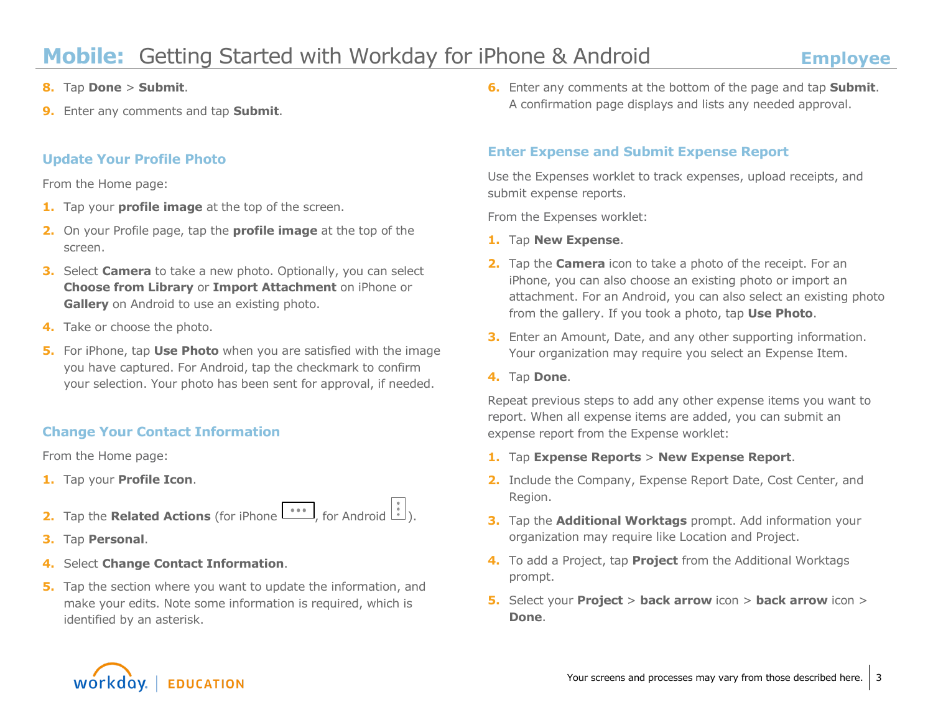- **8.** Tap **Done** > **Submit**.
- **9.** Enter any comments and tap **Submit**.

#### **Update Your Profile Photo**

From the Home page:

- **1.** Tap your **profile image** at the top of the screen.
- **2.** On your Profile page, tap the **profile image** at the top of the screen.
- **3.** Select **Camera** to take a new photo. Optionally, you can select **Choose from Library** or **Import Attachment** on iPhone or **Gallery** on Android to use an existing photo.
- **4.** Take or choose the photo.
- **5.** For iPhone, tap **Use Photo** when you are satisfied with the image you have captured. For Android, tap the checkmark to confirm your selection. Your photo has been sent for approval, if needed.

### **Change Your Contact Information**

From the Home page:

- **1.** Tap your **Profile Icon**.
- **2.** Tap the **Related Actions** (for iPhone  $\begin{bmatrix} \bullet & \bullet & \bullet \\ \bullet & \bullet & \bullet \\ \bullet & \bullet & \bullet \end{bmatrix}$ ).
- **3.** Tap **Personal**.
- **4.** Select **Change Contact Information**.
- **5.** Tap the section where you want to update the information, and make your edits. Note some information is required, which is identified by an asterisk.

**6.** Enter any comments at the bottom of the page and tap **Submit**. A confirmation page displays and lists any needed approval.

## **Enter Expense and Submit Expense Report**

Use the Expenses worklet to track expenses, upload receipts, and submit expense reports.

From the Expenses worklet:

- **1.** Tap **New Expense**.
- **2.** Tap the **Camera** icon to take a photo of the receipt. For an iPhone, you can also choose an existing photo or import an attachment. For an Android, you can also select an existing photo from the gallery. If you took a photo, tap **Use Photo**.
- **3.** Enter an Amount, Date, and any other supporting information. Your organization may require you select an Expense Item.
- **4.** Tap **Done**.

Repeat previous steps to add any other expense items you want to report. When all expense items are added, you can submit an expense report from the Expense worklet:

- **1.** Tap **Expense Reports** > **New Expense Report**.
- **2.** Include the Company, Expense Report Date, Cost Center, and Region.
- **3.** Tap the **Additional Worktags** prompt. Add information your organization may require like Location and Project.
- **4.** To add a Project, tap **Project** from the Additional Worktags prompt.
- **5.** Select your **Project** > **back arrow** icon > **back arrow** icon > **Done**.

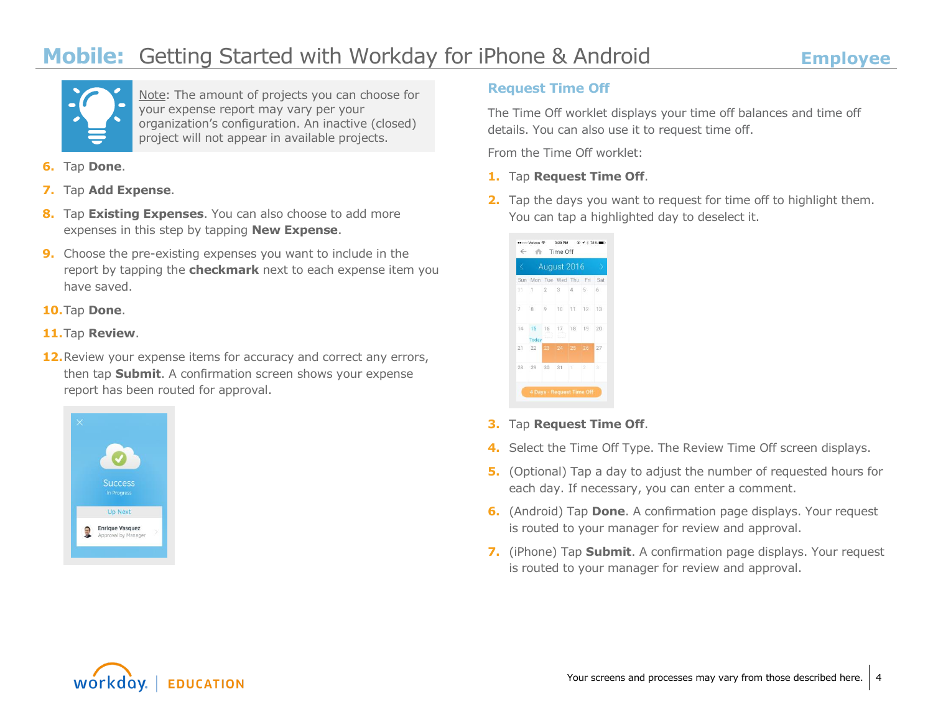

Note: The amount of projects you can choose for your expense report may vary per your organization's configuration. An inactive (closed) project will not appear in available projects.

- **6.** Tap **Done**.
- **7.** Tap **Add Expense**.
- **8.** Tap **Existing Expenses**. You can also choose to add more expenses in this step by tapping **New Expense**.
- **9.** Choose the pre-existing expenses you want to include in the report by tapping the **checkmark** next to each expense item you have saved.
- **10.**Tap **Done**.
- **11.**Tap **Review**.
- **12.**Review your expense items for accuracy and correct any errors, then tap **Submit**. A confirmation screen shows your expense report has been routed for approval.



#### **Request Time Off**

The Time Off worklet displays your time off balances and time off details. You can also use it to request time off.

From the Time Off worklet:

- **1.** Tap **Request Time Off**.
- **2.** Tap the days you want to request for time off to highlight them. You can tap a highlighted day to deselect it.

| C.     |                             |                | August 2016 |  |    |
|--------|-----------------------------|----------------|-------------|--|----|
|        | Sun Mon Tue Wed Thu Fri Sat |                |             |  |    |
| 31     | 11.                         | $\overline{2}$ | 3 4 5       |  | 6  |
| $\tau$ | $8 \t9$                     |                | 10 11 12 13 |  |    |
| 14     | 15<br>Today                 | 16             | 17 18 19 20 |  |    |
| 21     | 22                          |                | 23 24 25 26 |  | 27 |
|        | 28 29                       |                | 30 31 1 2 3 |  |    |

- **3.** Tap **Request Time Off**.
- **4.** Select the Time Off Type. The Review Time Off screen displays.
- **5.** (Optional) Tap a day to adjust the number of requested hours for each day. If necessary, you can enter a comment.
- **6.** (Android) Tap **Done**. A confirmation page displays. Your request is routed to your manager for review and approval.
- **7.** (iPhone) Tap **Submit**. A confirmation page displays. Your request is routed to your manager for review and approval.

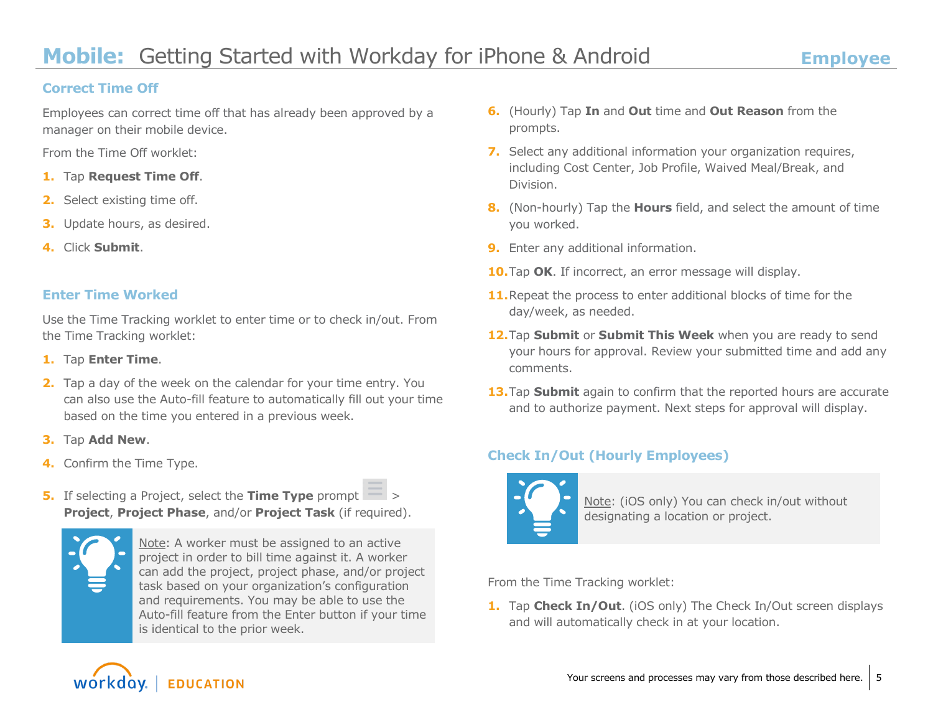### **Correct Time Off**

Employees can correct time off that has already been approved by a manager on their mobile device.

From the Time Off worklet:

- **1.** Tap **Request Time Off**.
- **2.** Select existing time off.
- **3.** Update hours, as desired.
- **4.** Click **Submit**.

### **Enter Time Worked**

Use the Time Tracking worklet to enter time or to check in/out. From the Time Tracking worklet:

- **1.** Tap **Enter Time**.
- **2.** Tap a day of the week on the calendar for your time entry. You can also use the Auto-fill feature to automatically fill out your time based on the time you entered in a previous week.
- **3.** Tap **Add New**.
- **4.** Confirm the Time Type.
- **5.** If selecting a Project, select the **Time Type** prompt **Project**, **Project Phase**, and/or **Project Task** (if required).



Note: A worker must be assigned to an active project in order to bill time against it. A worker can add the project, project phase, and/or project task based on your organization's configuration and requirements. You may be able to use the Auto-fill feature from the Enter button if your time is identical to the prior week.

- **6.** (Hourly) Tap **In** and **Out** time and **Out Reason** from the prompts.
- **7.** Select any additional information your organization requires, including Cost Center, Job Profile, Waived Meal/Break, and Division.
- **8.** (Non-hourly) Tap the **Hours** field, and select the amount of time you worked.
- **9.** Enter any additional information.
- **10.**Tap **OK**. If incorrect, an error message will display.
- 11. Repeat the process to enter additional blocks of time for the day/week, as needed.
- **12.**Tap **Submit** or **Submit This Week** when you are ready to send your hours for approval. Review your submitted time and add any comments.
- **13.**Tap **Submit** again to confirm that the reported hours are accurate and to authorize payment. Next steps for approval will display.

## **Check In/Out (Hourly Employees)**



Note: (iOS only) You can check in/out without designating a location or project.

From the Time Tracking worklet:

1. Tap **Check In/Out**. (iOS only) The Check In/Out screen displays and will automatically check in at your location.

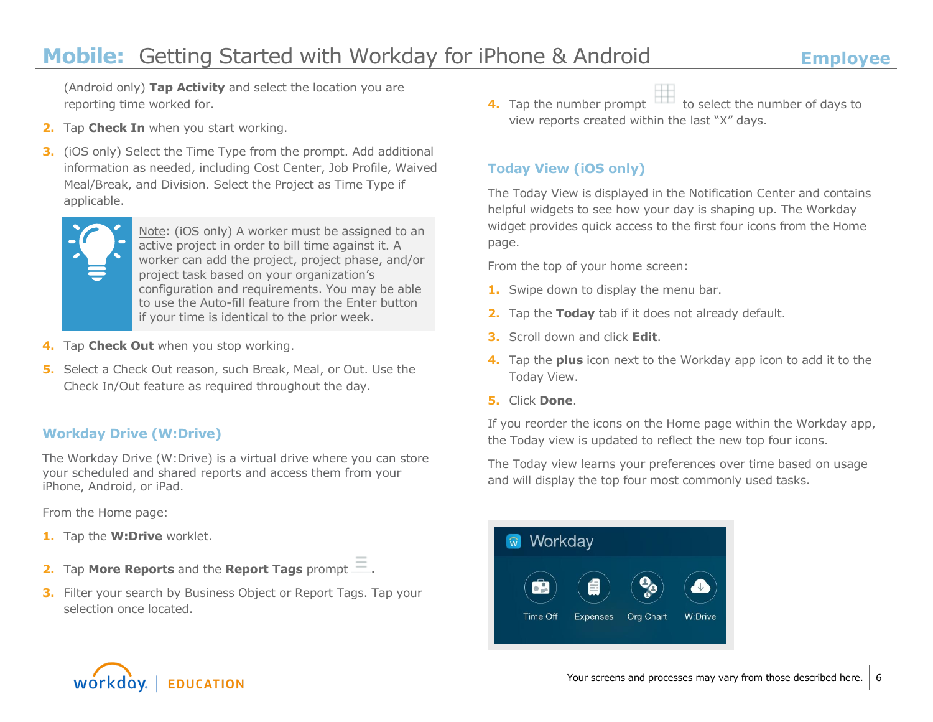(Android only) **Tap Activity** and select the location you are reporting time worked for.

- **2.** Tap **Check In** when you start working.
- **3.** (iOS only) Select the Time Type from the prompt. Add additional information as needed, including Cost Center, Job Profile, Waived Meal/Break, and Division. Select the Project as Time Type if applicable.



Note: (iOS only) A worker must be assigned to an active project in order to bill time against it. A worker can add the project, project phase, and/or project task based on your organization's configuration and requirements. You may be able to use the Auto-fill feature from the Enter button if your time is identical to the prior week.

- **4.** Tap **Check Out** when you stop working.
- **5.** Select a Check Out reason, such Break, Meal, or Out. Use the Check In/Out feature as required throughout the day.

#### **Workday Drive (W:Drive)**

The Workday Drive (W:Drive) is a virtual drive where you can store your scheduled and shared reports and access them from your iPhone, Android, or iPad.

From the Home page:

- **1.** Tap the **W:Drive** worklet.
- **2.** Tap **More Reports** and the **Report Tags** prompt **.**
- **3.** Filter your search by Business Object or Report Tags. Tap your selection once located.

**4.** Tap the number prompt to select the number of days to view reports created within the last "X" days.

#### **Today View (iOS only)**

The Today View is displayed in the Notification Center and contains helpful widgets to see how your day is shaping up. The Workday widget provides quick access to the first four icons from the Home page.

From the top of your home screen:

- **1.** Swipe down to display the menu bar.
- **2.** Tap the **Today** tab if it does not already default.
- **3.** Scroll down and click **Edit**.
- **4.** Tap the **plus** icon next to the Workday app icon to add it to the Today View.
- **5.** Click **Done**.

If you reorder the icons on the Home page within the Workday app, the Today view is updated to reflect the new top four icons.

The Today view learns your preferences over time based on usage and will display the top four most commonly used tasks.